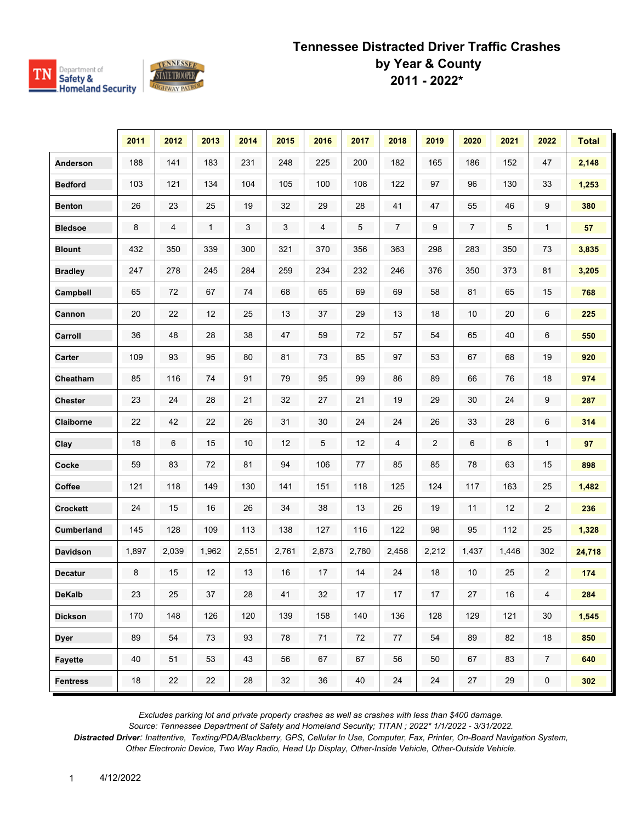

|                 | 2011  | 2012  | 2013         | 2014       | 2015  | 2016  | 2017   | 2018           | 2019             | 2020   | 2021   | 2022                | <b>Total</b> |
|-----------------|-------|-------|--------------|------------|-------|-------|--------|----------------|------------------|--------|--------|---------------------|--------------|
| Anderson        | 188   | 141   | 183          | 231        | 248   | 225   | 200    | 182            | 165              | 186    | 152    | 47                  | 2,148        |
| <b>Bedford</b>  | 103   | 121   | 134          | 104        | 105   | 100   | 108    | 122            | 97               | 96     | 130    | 33                  | 1,253        |
| <b>Benton</b>   | 26    | 23    | 25           | 19         | 32    | 29    | 28     | 41             | 47               | 55     | 46     | 9                   | 380          |
| <b>Bledsoe</b>  | 8     | 4     | $\mathbf{1}$ | $\sqrt{3}$ | 3     | 4     | 5      | $\overline{7}$ | 9                | 7      | 5      | $\mathbf{1}$        | 57           |
| <b>Blount</b>   | 432   | 350   | 339          | 300        | 321   | 370   | 356    | 363            | 298              | 283    | 350    | 73                  | 3,835        |
| <b>Bradley</b>  | 247   | 278   | 245          | 284        | 259   | 234   | 232    | 246            | 376              | 350    | 373    | 81                  | 3,205        |
| Campbell        | 65    | 72    | 67           | 74         | 68    | 65    | 69     | 69             | 58               | 81     | 65     | 15                  | 768          |
| Cannon          | 20    | 22    | 12           | 25         | 13    | 37    | 29     | 13             | 18               | $10$   | 20     | 6                   | 225          |
| Carroll         | 36    | 48    | 28           | 38         | 47    | 59    | 72     | 57             | 54               | 65     | 40     | 6                   | 550          |
| Carter          | 109   | 93    | 95           | 80         | 81    | 73    | 85     | 97             | 53               | 67     | 68     | 19                  | 920          |
| Cheatham        | 85    | 116   | 74           | 91         | 79    | 95    | 99     | 86             | 89               | 66     | 76     | 18                  | 974          |
| <b>Chester</b>  | 23    | 24    | 28           | 21         | 32    | 27    | 21     | 19             | 29               | 30     | 24     | 9                   | 287          |
| Claiborne       | 22    | 42    | 22           | 26         | 31    | 30    | 24     | 24             | 26               | 33     | 28     | 6                   | 314          |
| Clay            | 18    | 6     | 15           | 10         | 12    | 5     | 12     | 4              | $\boldsymbol{2}$ | 6      | 6      | $\mathbf{1}$        | 97           |
| Cocke           | 59    | 83    | 72           | 81         | 94    | 106   | 77     | 85             | 85               | 78     | 63     | 15                  | 898          |
| Coffee          | 121   | 118   | 149          | 130        | 141   | 151   | 118    | 125            | 124              | 117    | 163    | 25                  | 1,482        |
| <b>Crockett</b> | 24    | 15    | 16           | 26         | 34    | 38    | 13     | 26             | 19               | 11     | 12     | $\overline{2}$      | 236          |
| Cumberland      | 145   | 128   | 109          | 113        | 138   | 127   | 116    | 122            | 98               | 95     | 112    | 25                  | 1,328        |
| <b>Davidson</b> | 1,897 | 2,039 | 1,962        | 2,551      | 2,761 | 2,873 | 2,780  | 2,458          | 2,212            | 1,437  | 1,446  | 302                 | 24,718       |
| <b>Decatur</b>  | 8     | 15    | 12           | 13         | 16    | 17    | 14     | 24             | 18               | 10     | 25     | $\overline{2}$      | 174          |
| <b>DeKalb</b>   | 23    | 25    | 37           | 28         | $41$  | 32    | $17\,$ | $17\,$         | $17\,$           | $27\,$ | $16\,$ | 4                   | 284          |
| <b>Dickson</b>  | 170   | 148   | 126          | 120        | 139   | 158   | 140    | 136            | 128              | 129    | 121    | $30\,$              | 1,545        |
| <b>Dyer</b>     | 89    | 54    | 73           | 93         | 78    | $71$  | 72     | 77             | 54               | 89     | 82     | 18                  | 850          |
| <b>Fayette</b>  | 40    | 51    | 53           | 43         | 56    | 67    | 67     | 56             | 50               | 67     | 83     | 7 <sup>7</sup>      | 640          |
| <b>Fentress</b> | 18    | 22    | 22           | 28         | 32    | 36    | 40     | 24             | 24               | 27     | 29     | $\mathsf{O}\xspace$ | 302          |

*Excludes parking lot and private property crashes as well as crashes with less than \$400 damage.*

*Source: Tennessee Department of Safety and Homeland Security; TITAN ; 2022\* 1/1/2022 - 3/31/2022.*

*Distracted Driver: Inattentive, Texting/PDA/Blackberry, GPS, Cellular In Use, Computer, Fax, Printer, On-Board Navigation System, Other Electronic Device, Two Way Radio, Head Up Display, Other-Inside Vehicle, Other-Outside Vehicle.*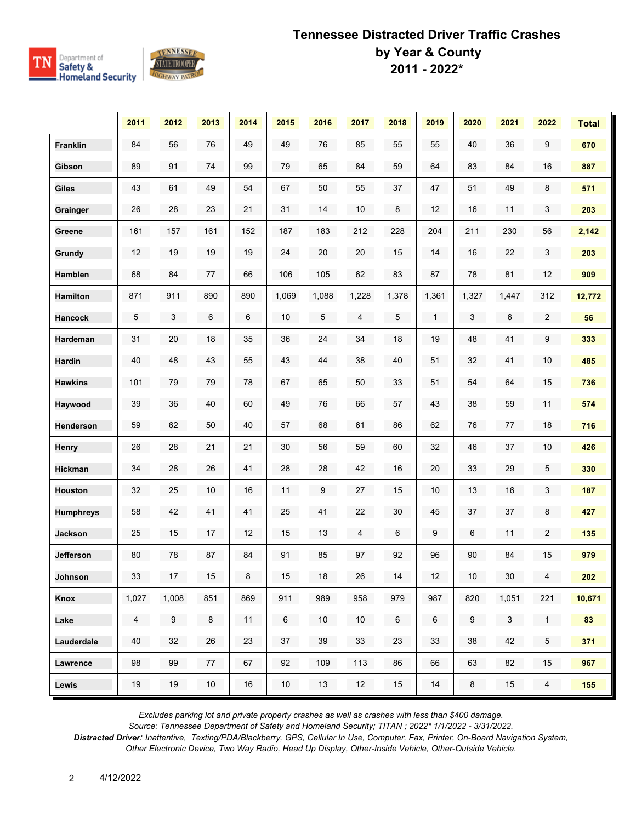



|                  | 2011                    | 2012             | 2013    | 2014    | 2015   | 2016   | 2017  | 2018   | 2019  | 2020             | 2021         | 2022           | <b>Total</b> |
|------------------|-------------------------|------------------|---------|---------|--------|--------|-------|--------|-------|------------------|--------------|----------------|--------------|
| <b>Franklin</b>  | 84                      | 56               | 76      | 49      | 49     | 76     | 85    | 55     | 55    | 40               | 36           | 9              | 670          |
| Gibson           | 89                      | 91               | 74      | 99      | 79     | 65     | 84    | 59     | 64    | 83               | 84           | 16             | 887          |
| Giles            | 43                      | 61               | 49      | 54      | 67     | 50     | 55    | 37     | 47    | 51               | 49           | 8              | 571          |
| Grainger         | 26                      | 28               | 23      | 21      | 31     | 14     | 10    | 8      | 12    | 16               | 11           | 3              | 203          |
| Greene           | 161                     | 157              | 161     | 152     | 187    | 183    | 212   | 228    | 204   | 211              | 230          | 56             | 2,142        |
| Grundy           | 12                      | 19               | 19      | 19      | 24     | 20     | 20    | 15     | 14    | 16               | 22           | 3              | 203          |
| Hamblen          | 68                      | 84               | 77      | 66      | 106    | 105    | 62    | 83     | 87    | 78               | 81           | 12             | 909          |
| <b>Hamilton</b>  | 871                     | 911              | 890     | 890     | 1,069  | 1,088  | 1,228 | 1,378  | 1,361 | 1,327            | 1,447        | 312            | 12,772       |
| <b>Hancock</b>   | 5                       | 3                | 6       | 6       | 10     | 5      | 4     | 5      | 1     | 3                | 6            | $\overline{c}$ | 56           |
| Hardeman         | 31                      | 20               | 18      | 35      | 36     | 24     | 34    | 18     | 19    | 48               | 41           | 9              | 333          |
| <b>Hardin</b>    | 40                      | 48               | 43      | 55      | 43     | 44     | 38    | 40     | 51    | 32               | 41           | 10             | 485          |
| <b>Hawkins</b>   | 101                     | 79               | 79      | 78      | 67     | 65     | 50    | 33     | 51    | 54               | 64           | 15             | 736          |
| Haywood          | 39                      | 36               | 40      | 60      | 49     | 76     | 66    | 57     | 43    | 38               | 59           | 11             | 574          |
| <b>Henderson</b> | 59                      | 62               | 50      | 40      | 57     | 68     | 61    | 86     | 62    | 76               | 77           | 18             | 716          |
| Henry            | 26                      | 28               | 21      | 21      | 30     | 56     | 59    | 60     | 32    | 46               | 37           | $10$           | 426          |
| <b>Hickman</b>   | 34                      | 28               | 26      | 41      | 28     | 28     | 42    | $16\,$ | 20    | 33               | 29           | 5              | 330          |
| Houston          | 32                      | 25               | 10      | 16      | 11     | 9      | 27    | 15     | 10    | $13$             | 16           | 3              | 187          |
| <b>Humphreys</b> | 58                      | 42               | 41      | 41      | 25     | 41     | 22    | 30     | 45    | 37               | 37           | 8              | 427          |
| <b>Jackson</b>   | 25                      | 15               | 17      | 12      | 15     | 13     | 4     | 6      | 9     | 6                | 11           | $\overline{2}$ | 135          |
| Jefferson        | 80                      | 78               | 87      | 84      | 91     | 85     | 97    | 92     | 96    | 90               | 84           | 15             | 979          |
| Johnson          | 33                      | 17               | $15\,$  | $\bf 8$ | $15\,$ | $18\,$ | 26    | $14$   | 12    | $10$             | $30\,$       | $\overline{4}$ | 202          |
| Knox             | 1,027                   | 1,008            | 851     | 869     | 911    | 989    | 958   | 979    | 987   | 820              | 1,051        | 221            | 10,671       |
| Lake             | $\overline{\mathbf{4}}$ | $\boldsymbol{9}$ | $\bf 8$ | 11      | $\,6$  | 10     | 10    | 6      | $\,6$ | $\boldsymbol{9}$ | $\mathbf{3}$ | 1              | 83           |
| Lauderdale       | 40                      | 32               | 26      | 23      | 37     | 39     | 33    | 23     | 33    | 38               | 42           | 5 <sup>5</sup> | 371          |
| Lawrence         | 98                      | 99               | 77      | 67      | 92     | 109    | 113   | 86     | 66    | 63               | 82           | 15             | 967          |
| Lewis            | 19                      | 19               | 10      | $16\,$  | $10\,$ | 13     | 12    | 15     | 14    | $\bf 8$          | $15\,$       | $\overline{4}$ | 155          |

*Excludes parking lot and private property crashes as well as crashes with less than \$400 damage.*

*Source: Tennessee Department of Safety and Homeland Security; TITAN ; 2022\* 1/1/2022 - 3/31/2022.*

*Distracted Driver: Inattentive, Texting/PDA/Blackberry, GPS, Cellular In Use, Computer, Fax, Printer, On-Board Navigation System, Other Electronic Device, Two Way Radio, Head Up Display, Other-Inside Vehicle, Other-Outside Vehicle.*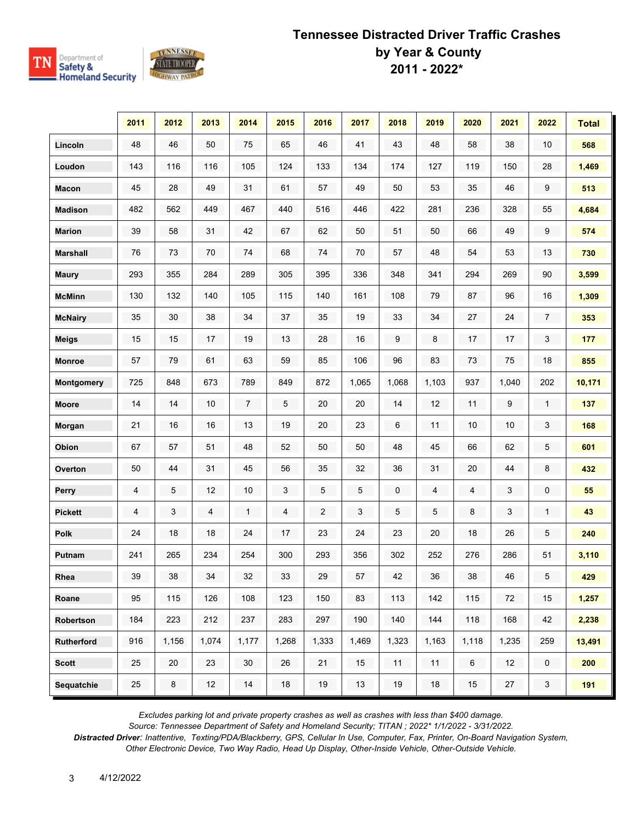

|                   | 2011 | 2012  | 2013  | 2014  | 2015  | 2016           | 2017  | 2018  | 2019  | 2020           | 2021  | 2022                | <b>Total</b> |
|-------------------|------|-------|-------|-------|-------|----------------|-------|-------|-------|----------------|-------|---------------------|--------------|
| Lincoln           | 48   | 46    | 50    | 75    | 65    | 46             | 41    | 43    | 48    | 58             | 38    | 10                  | 568          |
| Loudon            | 143  | 116   | 116   | 105   | 124   | 133            | 134   | 174   | 127   | 119            | 150   | 28                  | 1,469        |
| <b>Macon</b>      | 45   | 28    | 49    | 31    | 61    | 57             | 49    | 50    | 53    | 35             | 46    | 9                   | 513          |
| <b>Madison</b>    | 482  | 562   | 449   | 467   | 440   | 516            | 446   | 422   | 281   | 236            | 328   | 55                  | 4,684        |
| <b>Marion</b>     | 39   | 58    | 31    | 42    | 67    | 62             | 50    | 51    | 50    | 66             | 49    | 9                   | 574          |
| <b>Marshall</b>   | 76   | 73    | 70    | 74    | 68    | 74             | 70    | 57    | 48    | 54             | 53    | 13                  | 730          |
| <b>Maury</b>      | 293  | 355   | 284   | 289   | 305   | 395            | 336   | 348   | 341   | 294            | 269   | 90                  | 3,599        |
| <b>McMinn</b>     | 130  | 132   | 140   | 105   | 115   | 140            | 161   | 108   | 79    | 87             | 96    | 16                  | 1,309        |
| <b>McNairy</b>    | 35   | 30    | 38    | 34    | 37    | 35             | 19    | 33    | 34    | $27\,$         | 24    | $\overline{7}$      | 353          |
| Meigs             | 15   | 15    | 17    | 19    | 13    | 28             | 16    | 9     | 8     | 17             | 17    | 3                   | 177          |
| <b>Monroe</b>     | 57   | 79    | 61    | 63    | 59    | 85             | 106   | 96    | 83    | 73             | 75    | 18                  | 855          |
| Montgomery        | 725  | 848   | 673   | 789   | 849   | 872            | 1,065 | 1,068 | 1,103 | 937            | 1,040 | 202                 | 10,171       |
| <b>Moore</b>      | 14   | 14    | 10    | 7     | 5     | 20             | 20    | 14    | 12    | 11             | 9     | 1                   | 137          |
| Morgan            | 21   | 16    | 16    | 13    | 19    | 20             | 23    | 6     | 11    | 10             | 10    | 3                   | 168          |
| Obion             | 67   | 57    | 51    | 48    | 52    | 50             | 50    | 48    | 45    | 66             | 62    | 5                   | 601          |
| Overton           | 50   | 44    | 31    | 45    | 56    | 35             | 32    | 36    | 31    | $20\,$         | 44    | 8                   | 432          |
| Perry             | 4    | 5     | 12    | 10    | 3     | 5              | 5     | 0     | 4     | 4              | 3     | 0                   | 55           |
| <b>Pickett</b>    | 4    | 3     | 4     | 1     | 4     | $\overline{c}$ | 3     | 5     | 5     | 8              | 3     | $\mathbf{1}$        | 43           |
| <b>Polk</b>       | 24   | 18    | 18    | 24    | 17    | 23             | 24    | 23    | 20    | 18             | 26    | 5                   | 240          |
| Putnam            | 241  | 265   | 234   | 254   | 300   | 293            | 356   | 302   | 252   | 276            | 286   | 51                  | 3,110        |
| Rhea              | 39   | 38    | 34    | 32    | 33    | 29             | 57    | 42    | 36    | 38             | 46    | 5 <sup>5</sup>      | 429          |
| Roane             | 95   | 115   | 126   | 108   | 123   | 150            | 83    | 113   | 142   | 115            | 72    | 15                  | 1,257        |
| Robertson         | 184  | 223   | 212   | 237   | 283   | 297            | 190   | 140   | 144   | 118            | 168   | 42                  | 2,238        |
| <b>Rutherford</b> | 916  | 1,156 | 1,074 | 1,177 | 1,268 | 1,333          | 1,469 | 1,323 | 1,163 | 1,118          | 1,235 | 259                 | 13,491       |
| <b>Scott</b>      | 25   | 20    | 23    | 30    | 26    | 21             | 15    | 11    | 11    | $6\phantom{.}$ | 12    | $\mathsf{O}\xspace$ | 200          |
| Sequatchie        | 25   | 8     | 12    | 14    | 18    | 19             | 13    | 19    | $18$  | $15\,$         | 27    | 3                   | 191          |

*Excludes parking lot and private property crashes as well as crashes with less than \$400 damage.*

*Source: Tennessee Department of Safety and Homeland Security; TITAN ; 2022\* 1/1/2022 - 3/31/2022.*

*Distracted Driver: Inattentive, Texting/PDA/Blackberry, GPS, Cellular In Use, Computer, Fax, Printer, On-Board Navigation System, Other Electronic Device, Two Way Radio, Head Up Display, Other-Inside Vehicle, Other-Outside Vehicle.*